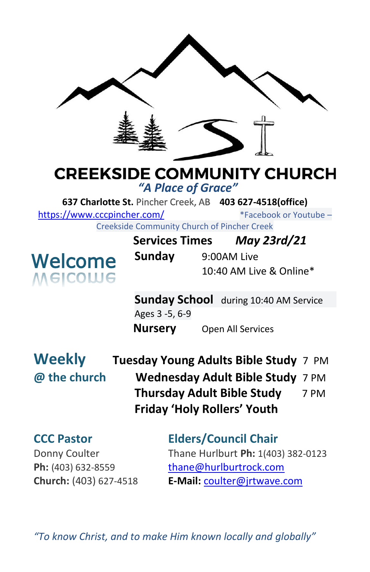

# **CREEKSIDE COMMUNITY CHURCH**

*"A Place of Grace"*

**637 Charlotte St.** Pincher Creek, AB **403 627-4518(office)** 

<https://www.cccpincher.com/>\*Facebook or Youtube –

Creekside Community Church of Pincher Creek



| <u>ooliitiviitiv olivi oli oli tiivitoi oli ol</u> |             |                         |
|----------------------------------------------------|-------------|-------------------------|
| <b>Services Times</b>                              |             | May 23rd/21             |
| Sunday                                             | 9:00AM Live |                         |
|                                                    |             | 10:40 AM Live & Online* |

**Sunday School** during 10:40 AM Service Ages 3 -5, 6-9 **Nursery** Open All Services

**Weekly Tuesday Young Adults Bible Study** 7 PM **@ the church Wednesday Adult Bible Study** 7 PM **Thursday Adult Bible Study** 7 PM **Friday 'Holy Rollers' Youth**

**CCC Pastor Elders/Council Chair** Donny Coulter Thane Hurlburt **Ph:** 1(403) 382-0123 Ph: (403) 632-8559 [thane@hurlburtrock.com](mailto:thane@hurlburtrock.com) **Church:** (403) 627-4518 **E-Mail:** [coulter@jrtwave.com](mailto:coulter@jrtwave.com)

*"To know Christ, and to make Him known locally and globally"*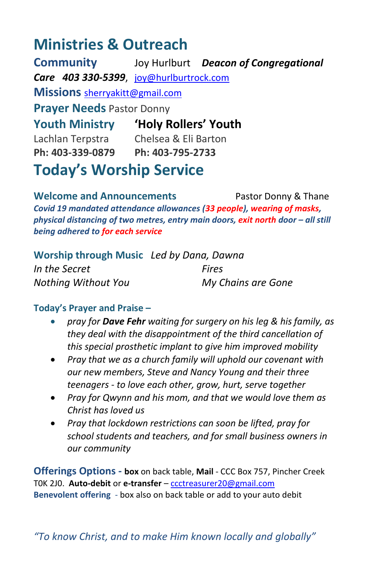## **Ministries & Outreach**

**Community** Joy Hurlburt *Deacon of Congregational Care 403 330-5399*, [joy@hurlburtrock.com](mailto:joy@hurlburtrock.com) **Missions** [sherryakitt@gmail.com](mailto:sherryakitt@gmail.com) **Prayer Needs** Pastor Donny **Youth Ministry 'Holy Rollers' Youth** Lachlan Terpstra Chelsea & Eli Barton **Ph: 403-339-0879 Ph: 403-795-2733**

**Today's Worship Service**

**Welcome and Announcements** Pastor Donny & Thane *Covid 19 mandated attendance allowances (33 people), wearing of masks, physical distancing of two metres, entry main doors, exit north door – all still being adhered to for each service*

| Worship through Music Led by Dana, Dawna |                    |
|------------------------------------------|--------------------|
| In the Secret                            | <b>Fires</b>       |
| Nothing Without You                      | My Chains are Gone |

#### **Today's Prayer and Praise –**

- *pray for Dave Fehr waiting for surgery on his leg & his family, as they deal with the disappointment of the third cancellation of this special prosthetic implant to give him improved mobility*
- *Pray that we as a church family will uphold our covenant with our new members, Steve and Nancy Young and their three teenagers - to love each other, grow, hurt, serve together*
- *Pray for Qwynn and his mom, and that we would love them as Christ has loved us*
- *Pray that lockdown restrictions can soon be lifted, pray for school students and teachers, and for small business owners in our community*

**Offerings Options - box** on back table, **Mail** - CCC Box 757, Pincher Creek T0K 2J0. **Auto-debit** or **e-transfer** – [ccctreasurer20@gmail.com](mailto:ccctreasurer20@gmail.com) **Benevolent offering** - box also on back table or add to your auto debit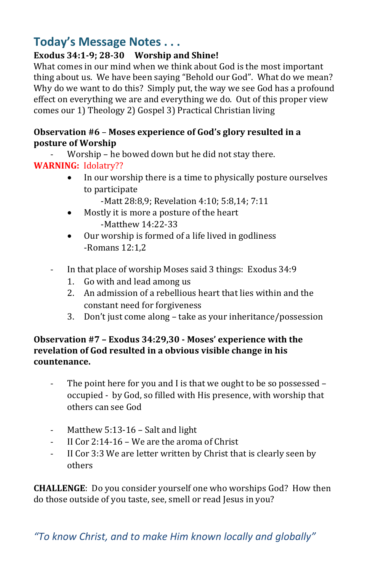### **Today's Message Notes . . .**

#### **Exodus 34:1-9; 28-30 Worship and Shine!**

What comes in our mind when we think about God is the most important thing about us. We have been saying "Behold our God". What do we mean? Why do we want to do this? Simply put, the way we see God has a profound effect on everything we are and everything we do. Out of this proper view comes our 1) Theology 2) Gospel 3) Practical Christian living

#### **Observation #6** – **Moses experience of God's glory resulted in a posture of Worship**

Worship – he bowed down but he did not stay there.

#### **WARNING:** Idolatry??

- In our worship there is a time to physically posture ourselves to participate
	- -Matt 28:8,9; Revelation 4:10; 5:8,14; 7:11
- Mostly it is more a posture of the heart -Matthew 14:22-33
- Our worship is formed of a life lived in godliness -Romans 12:1,2
- In that place of worship Moses said 3 things: Exodus 34:9
	- 1. Go with and lead among us
	- 2. An admission of a rebellious heart that lies within and the constant need for forgiveness
	- 3. Don't just come along take as your inheritance/possession

#### **Observation #7 – Exodus 34:29,30 - Moses' experience with the revelation of God resulted in a obvious visible change in his countenance.**

- The point here for you and I is that we ought to be so possessed occupied - by God, so filled with His presence, with worship that others can see God
- Matthew 5:13-16 Salt and light
- II Cor  $2:14-16$  We are the aroma of Christ
- II Cor 3:3 We are letter written by Christ that is clearly seen by others

**CHALLENGE**: Do you consider yourself one who worships God? How then do those outside of you taste, see, smell or read Jesus in you?

*"To know Christ, and to make Him known locally and globally"*